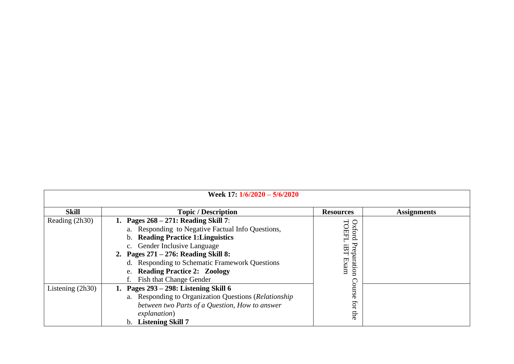| Week 17: 1/6/2020 - 5/6/2020 |                                                                                                                                                                                                                                                                                                                                                    |                                                             |                    |  |
|------------------------------|----------------------------------------------------------------------------------------------------------------------------------------------------------------------------------------------------------------------------------------------------------------------------------------------------------------------------------------------------|-------------------------------------------------------------|--------------------|--|
| <b>Skill</b>                 | <b>Topic / Description</b>                                                                                                                                                                                                                                                                                                                         | <b>Resources</b>                                            | <b>Assignments</b> |  |
| Reading (2h30)               | Pages $268 - 271$ : Reading Skill 7:<br>a. Responding to Negative Factual Info Questions,<br><b>Reading Practice 1: Linguistics</b><br>$b_{1}$<br>c. Gender Inclusive Language<br>2. Pages $271 - 276$ : Reading Skill 8:<br>d. Responding to Schematic Framework Questions<br><b>Reading Practice 2: Zoology</b><br>e.<br>Fish that Change Gender | TOEFL<br>Oxford<br>᠊ᡆ<br>θ<br>tep<br>aration<br>口<br>$\max$ |                    |  |
| Listening $(2h30)$           | Pages 293 – 298: Listening Skill 6<br>a. Responding to Organization Questions (Relationship<br>between two Parts of a Question, How to answer<br><i>explanation</i> )<br><b>Listening Skill 7</b>                                                                                                                                                  | Course<br>for<br>Ëе                                         |                    |  |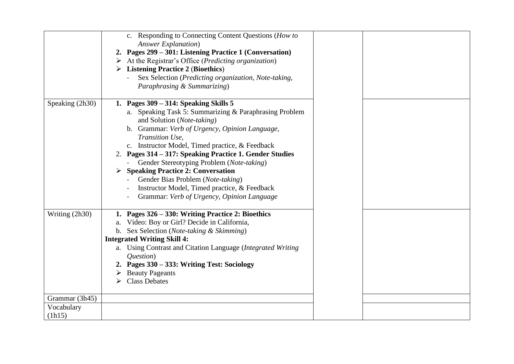|                      | c. Responding to Connecting Content Questions (How to<br><b>Answer Explanation</b> )<br>2. Pages 299 – 301: Listening Practice 1 (Conversation)<br>$\triangleright$ At the Registrar's Office ( <i>Predicting organization</i> )<br>$\triangleright$ Listening Practice 2 (Bioethics)<br>Sex Selection (Predicting organization, Note-taking,<br>Paraphrasing & Summarizing)                                                                                                                                                                         |  |
|----------------------|------------------------------------------------------------------------------------------------------------------------------------------------------------------------------------------------------------------------------------------------------------------------------------------------------------------------------------------------------------------------------------------------------------------------------------------------------------------------------------------------------------------------------------------------------|--|
| Speaking (2h30)      | 1. Pages $309 - 314$ : Speaking Skills 5<br>a. Speaking Task 5: Summarizing & Paraphrasing Problem<br>and Solution (Note-taking)<br>b. Grammar: Verb of Urgency, Opinion Language,<br>Transition Use,<br>c. Instructor Model, Timed practice, & Feedback<br>2. Pages 314 – 317: Speaking Practice 1. Gender Studies<br>Gender Stereotyping Problem (Note-taking)<br><b>Speaking Practice 2: Conversation</b><br>➤<br>Gender Bias Problem (Note-taking)<br>Instructor Model, Timed practice, & Feedback<br>Grammar: Verb of Urgency, Opinion Language |  |
| Writing (2h30)       | 1. Pages 326 – 330: Writing Practice 2: Bioethics<br>a. Video: Boy or Girl? Decide in California,<br>b. Sex Selection (Note-taking & Skimming)<br><b>Integrated Writing Skill 4:</b><br>a. Using Contrast and Citation Language (Integrated Writing<br><i>Ouestion</i> )<br>2. Pages 330 – 333: Writing Test: Sociology<br>$\triangleright$ Beauty Pageants<br><b>Class Debates</b>                                                                                                                                                                  |  |
| Grammar (3h45)       |                                                                                                                                                                                                                                                                                                                                                                                                                                                                                                                                                      |  |
| Vocabulary<br>(lh15) |                                                                                                                                                                                                                                                                                                                                                                                                                                                                                                                                                      |  |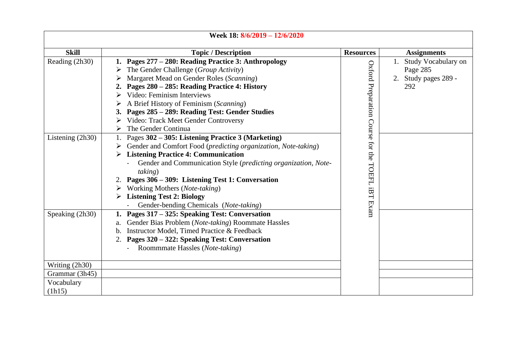| Week 18: 8/6/2019 - 12/6/2020                                  |                  |                                                                     |  |
|----------------------------------------------------------------|------------------|---------------------------------------------------------------------|--|
| <b>Topic / Description</b>                                     | <b>Resources</b> | <b>Assignments</b>                                                  |  |
| Pages 277 - 280: Reading Practice 3: Anthropology              |                  | Study Vocabulary on                                                 |  |
| The Gender Challenge (Group Activity)                          |                  | Page 285                                                            |  |
| Margaret Mead on Gender Roles (Scanning)                       |                  | 2. Study pages 289 -                                                |  |
| Pages 280 - 285: Reading Practice 4: History                   |                  | 292                                                                 |  |
| Video: Feminism Interviews                                     |                  |                                                                     |  |
| A Brief History of Feminism (Scanning)                         |                  |                                                                     |  |
| 3. Pages 285 - 289: Reading Test: Gender Studies               |                  |                                                                     |  |
| Video: Track Meet Gender Controversy                           |                  |                                                                     |  |
| The Gender Continua                                            |                  |                                                                     |  |
| Pages 302 - 305: Listening Practice 3 (Marketing)              |                  |                                                                     |  |
| Gender and Comfort Food (predicting organization, Note-taking) |                  |                                                                     |  |
| <b>Listening Practice 4: Communication</b>                     |                  |                                                                     |  |
| Gender and Communication Style (predicting organization, Note- |                  |                                                                     |  |
| <i>taking</i> )                                                |                  |                                                                     |  |
| Pages 306 - 309: Listening Test 1: Conversation                |                  |                                                                     |  |
| Working Mothers (Note-taking)                                  |                  |                                                                     |  |
| <b>Listening Test 2: Biology</b>                               |                  |                                                                     |  |
| Gender-bending Chemicals (Note-taking)                         |                  |                                                                     |  |
| Pages 317 – 325: Speaking Test: Conversation                   |                  |                                                                     |  |
| Gender Bias Problem (Note-taking) Roommate Hassles<br>a.       |                  |                                                                     |  |
| Instructor Model, Timed Practice & Feedback<br>$b_{\cdot}$     |                  |                                                                     |  |
| Pages 320 – 322: Speaking Test: Conversation                   |                  |                                                                     |  |
| Roommmate Hassles (Note-taking)<br>$\sim$                      |                  |                                                                     |  |
|                                                                |                  |                                                                     |  |
|                                                                |                  |                                                                     |  |
|                                                                |                  |                                                                     |  |
|                                                                |                  |                                                                     |  |
|                                                                |                  | Oxford Preparation<br>Course for the<br>TOEFL<br><b>IBT</b><br>Exam |  |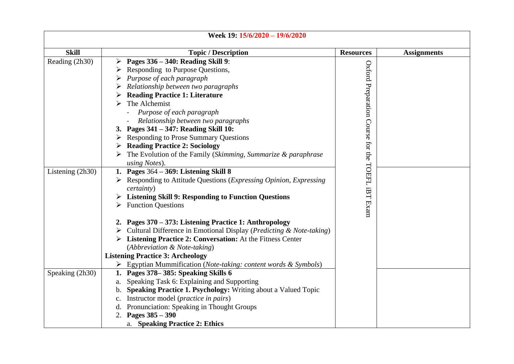| Week 19: 15/6/2020 - 19/6/2020 |                                                                                                                   |                                   |                    |
|--------------------------------|-------------------------------------------------------------------------------------------------------------------|-----------------------------------|--------------------|
| <b>Skill</b>                   | <b>Topic / Description</b>                                                                                        | <b>Resources</b>                  | <b>Assignments</b> |
| Reading (2h30)                 | $\triangleright$ Pages 336 – 340: Reading Skill 9:                                                                |                                   |                    |
|                                | Responding to Purpose Questions,                                                                                  |                                   |                    |
|                                | Purpose of each paragraph                                                                                         |                                   |                    |
|                                | Relationship between two paragraphs                                                                               |                                   |                    |
|                                | <b>Reading Practice 1: Literature</b>                                                                             |                                   |                    |
|                                | The Alchemist<br>➤                                                                                                |                                   |                    |
|                                | Purpose of each paragraph                                                                                         |                                   |                    |
|                                | Relationship between two paragraphs                                                                               |                                   |                    |
|                                | 3. Pages 341 - 347: Reading Skill 10:                                                                             |                                   |                    |
|                                | $\triangleright$ Responding to Prose Summary Questions                                                            |                                   |                    |
|                                | <b>Reading Practice 2: Sociology</b>                                                                              |                                   |                    |
|                                | The Evolution of the Family (Skimming, Summarize & paraphrase                                                     | Oxford Preparation Course for the |                    |
|                                | using Notes).                                                                                                     |                                   |                    |
| Listening (2h30)               | 1. Pages $364 - 369$ : Listening Skill 8                                                                          |                                   |                    |
|                                | $\triangleright$ Responding to Attitude Questions ( <i>Expressing Opinion, Expressing</i> )<br><i>certainty</i> ) | TOEFL                             |                    |
|                                | $\triangleright$ Listening Skill 9: Responding to Function Questions                                              | İBT                               |                    |
|                                | <b>Function Questions</b>                                                                                         |                                   |                    |
|                                |                                                                                                                   | Exam                              |                    |
|                                | 2. Pages 370 - 373: Listening Practice 1: Anthropology                                                            |                                   |                    |
|                                | $\triangleright$ Cultural Difference in Emotional Display ( <i>Predicting &amp; Note-taking</i> )                 |                                   |                    |
|                                | > Listening Practice 2: Conversation: At the Fitness Center                                                       |                                   |                    |
|                                | (Abbreviation & Note-taking)                                                                                      |                                   |                    |
|                                | <b>Listening Practice 3: Archeology</b>                                                                           |                                   |                    |
|                                | $\triangleright$ Egyptian Mummification (Note-taking: content words & Symbols)                                    |                                   |                    |
| Speaking (2h30)                | 1. Pages 378–385: Speaking Skills 6                                                                               |                                   |                    |
|                                | Speaking Task 6: Explaining and Supporting<br>а.                                                                  |                                   |                    |
|                                | b. Speaking Practice 1. Psychology: Writing about a Valued Topic                                                  |                                   |                    |
|                                | Instructor model (practice in pairs)<br>$c_{\cdot}$                                                               |                                   |                    |
|                                | Pronunciation: Speaking in Thought Groups<br>d.                                                                   |                                   |                    |
|                                | 2. Pages $385 - 390$                                                                                              |                                   |                    |
|                                | a. Speaking Practice 2: Ethics                                                                                    |                                   |                    |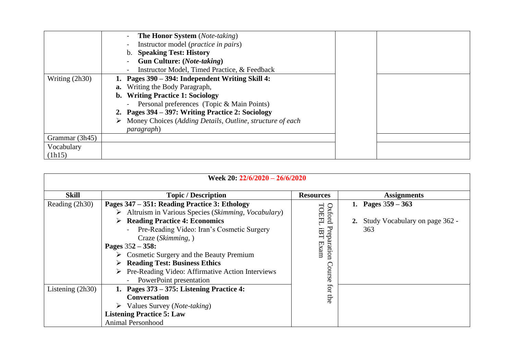|                  | <b>The Honor System</b> (Note-taking)                     |  |
|------------------|-----------------------------------------------------------|--|
|                  | Instructor model ( <i>practice in pairs</i> )             |  |
|                  | <b>Speaking Test: History</b>                             |  |
|                  | Gun Culture: (Note-taking)                                |  |
|                  | Instructor Model, Timed Practice, & Feedback              |  |
| Writing $(2h30)$ | Pages 390 – 394: Independent Writing Skill 4:             |  |
|                  | <b>a.</b> Writing the Body Paragraph,                     |  |
|                  | b. Writing Practice 1: Sociology                          |  |
|                  | Personal preferences (Topic & Main Points)                |  |
|                  | 2. Pages 394 – 397: Writing Practice 2: Sociology         |  |
|                  | Money Choices (Adding Details, Outline, structure of each |  |
|                  | <i>paragraph</i> )                                        |  |
| Grammar (3h45)   |                                                           |  |
| Vocabulary       |                                                           |  |
| (lh15)           |                                                           |  |

| Week 20: 22/6/2020 - 26/6/2020       |                                                                                                                                                                                                                                                                                                                                                                                                                                                                                                                                                                                  |                                                                                                 |                                                                  |
|--------------------------------------|----------------------------------------------------------------------------------------------------------------------------------------------------------------------------------------------------------------------------------------------------------------------------------------------------------------------------------------------------------------------------------------------------------------------------------------------------------------------------------------------------------------------------------------------------------------------------------|-------------------------------------------------------------------------------------------------|------------------------------------------------------------------|
| <b>Skill</b>                         | <b>Topic / Description</b>                                                                                                                                                                                                                                                                                                                                                                                                                                                                                                                                                       | <b>Resources</b>                                                                                | <b>Assignments</b>                                               |
| Reading (2h30)<br>Listening $(2h30)$ | Pages 347 – 351: Reading Practice 3: Ethology<br>Altruism in Various Species (Skimming, Vocabulary)<br>➤<br><b>Reading Practice 4: Economics</b><br>➤<br>Pre-Reading Video: Iran's Cosmetic Surgery<br>Craze (Skimming, )<br>Pages $352 - 358$ :<br>Cosmetic Surgery and the Beauty Premium<br><b>Reading Test: Business Ethics</b><br>Pre-Reading Video: Affirmative Action Interviews<br>PowerPoint presentation<br>Pages 373 – 375: Listening Practice 4:<br><b>Conversation</b><br>$\triangleright$ Values Survey ( <i>Note-taking</i> )<br><b>Listening Practice 5: Law</b> | Oxford<br>TOEFL<br>Preparation<br><b>IBT</b><br>$\ensuremath{\text{Exam}}$<br>Course<br>for the | 1. Pages $359 - 363$<br>2. Study Vocabulary on page 362 -<br>363 |
|                                      | Animal Personhood                                                                                                                                                                                                                                                                                                                                                                                                                                                                                                                                                                |                                                                                                 |                                                                  |